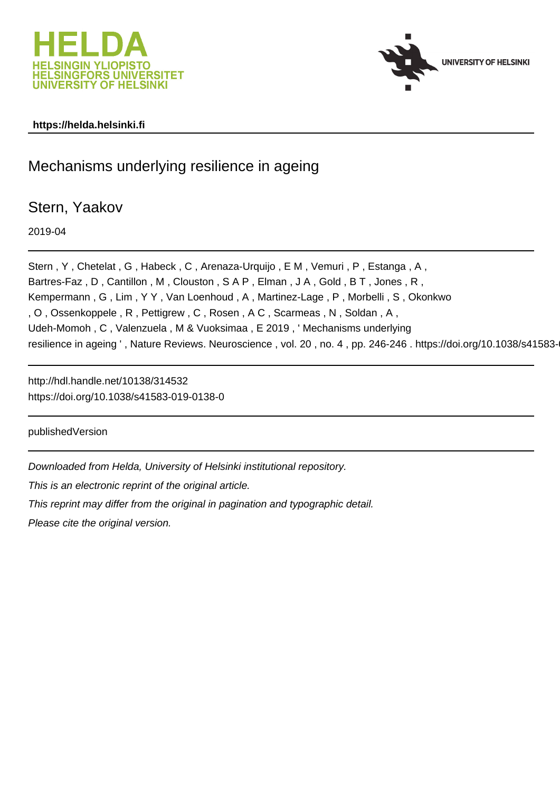



## **https://helda.helsinki.fi**

## Mechanisms underlying resilience in ageing

Stern, Yaakov

2019-04

Stern , Y , Chetelat , G , Habeck , C , Arenaza-Urquijo , E M , Vemuri , P , Estanga , A , Bartres-Faz , D , Cantillon , M , Clouston , S A P , Elman , J A , Gold , B T , Jones , R , Kempermann , G , Lim , Y Y , Van Loenhoud , A , Martinez-Lage , P , Morbelli , S , Okonkwo , O , Ossenkoppele , R , Pettigrew , C , Rosen , A C , Scarmeas , N , Soldan , A , Udeh-Momoh , C , Valenzuela , M & Vuoksimaa , E 2019 , ' Mechanisms underlying resilience in ageing ', Nature Reviews. Neuroscience, vol. 20, no. 4, pp. 246-246. https://doi.org/10.1038/s41583-

http://hdl.handle.net/10138/314532 https://doi.org/10.1038/s41583-019-0138-0

publishedVersion

Downloaded from Helda, University of Helsinki institutional repository.

This is an electronic reprint of the original article.

This reprint may differ from the original in pagination and typographic detail.

Please cite the original version.